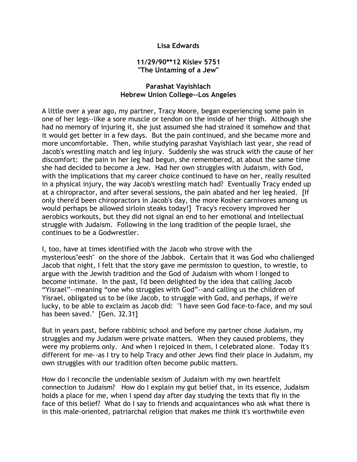## **Lisa Edwards**

## **11/29/90\*\*12 Kislev 5751 "The Untaming of a Jew"**

## **Parashat Vayishlach Hebrew Union College--Los Angeles**

A little over a year ago, my partner, Tracy Moore, began experiencing some pain in one of her legs--like a sore muscle or tendon on the inside of her thigh. Although she had no memory of injuring it, she just assumed she had strained it somehow and that it would get better in a few days. But the pain continued, and she became more and more uncomfortable. Then, while studying parashat Vayishlach last year, she read of Jacob's wrestling match and leg injury. Suddenly she was struck with the cause of her discomfort: the pain in her leg had begun, she remembered, at about the same time she had decided to become a Jew. Had her own struggles with Judaism, with God, with the implications that my career choice continued to have on her, really resulted in a physical injury, the way Jacob's wrestling match had? Eventually Tracy ended up at a chiropractor, and after several sessions, the pain abated and her leg healed. [If only there'd been chiropractors in Jacob's day, the more Kosher carnivores among us would perhaps be allowed sirloin steaks today!] Tracy's recovery improved her aerobics workouts, but they did not signal an end to her emotional and intellectual struggle with Judaism. Following in the long tradition of the people Israel, she continues to be a Godwrestler.

I, too, have at times identified with the Jacob who strove with the mysterious"eesh" on the shore of the Jabbok. Certain that it was God who challenged Jacob that night, I felt that the story gave me permission to question, to wrestle, to argue with the Jewish tradition and the God of Judaism with whom I longed to become intimate. In the past, I'd been delighted by the idea that calling Jacob "Yisrael"--meaning "one who struggles with God"--and calling us the children of Yisrael, obligated us to be like Jacob, to struggle with God, and perhaps, if we're lucky, to be able to exclaim as Jacob did: "I have seen God face-to-face, and my soul has been saved." [Gen. 32.31]

But in years past, before rabbinic school and before my partner chose Judaism, my struggles and my Judaism were private matters. When they caused problems, they were my problems only. And when I rejoiced in them, I celebrated alone. Today it's different for me--as I try to help Tracy and other Jews find their place in Judaism, my own struggles with our tradition often become public matters.

How do I reconcile the undeniable sexism of Judaism with my own heartfelt connection to Judaism? How do I explain my gut belief that, in its essence, Judaism holds a place for me, when I spend day after day studying the texts that fly in the face of this belief? What do I say to friends and acquaintances who ask what there is in this male-oriented, patriarchal religion that makes me think it's worthwhile even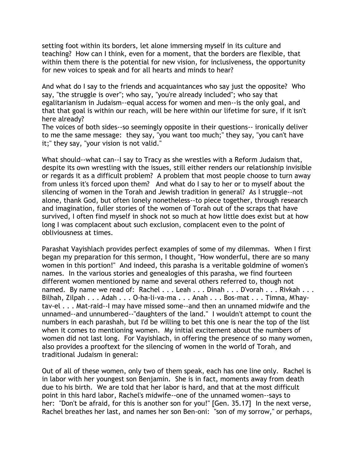setting foot within its borders, let alone immersing myself in its culture and teaching? How can I think, even for a moment, that the borders are flexible, that within them there is the potential for new vision, for inclusiveness, the opportunity for new voices to speak and for all hearts and minds to hear?

And what do I say to the friends and acquaintances who say just the opposite? Who say, "the struggle is over"; who say, "you're already included"; who say that egalitarianism in Judaism--equal access for women and men--is the only goal, and that that goal is within our reach, will be here within our lifetime for sure, if it isn't here already?

The voices of both sides--so seemingly opposite in their questions-- ironically deliver to me the same message: they say, "you want too much;" they say, "you can't have it;" they say, "your vision is not valid."

What should--what can--I say to Tracy as she wrestles with a Reform Judaism that, despite its own wrestling with the issues, still either renders our relationship invisible or regards it as a difficult problem? A problem that most people choose to turn away from unless it's forced upon them? And what do I say to her or to myself about the silencing of women in the Torah and Jewish tradition in general? As I struggle--not alone, thank God, but often lonely nonetheless--to piece together, through research and imagination, fuller stories of the women of Torah out of the scraps that have survived, I often find myself in shock not so much at how little does exist but at how long I was complacent about such exclusion, complacent even to the point of obliviousness at times.

Parashat Vayishlach provides perfect examples of some of my dilemmas. When I first began my preparation for this sermon, I thought, "How wonderful, there are so many women in this portion!" And indeed, this parasha is a veritable goldmine of women's names. In the various stories and genealogies of this parasha, we find fourteen different women mentioned by name and several others referred to, though not named. By name we read of: Rachel . . . Leah . . . Dinah . . . D'vorah . . . Rivkah . . . Bilhah, Zilpah . . . Adah . . . O-ha-li-va-ma . . . Anah . . . Bos-mat . . . Timna, M'haytav-el . . . Mat-raid--I may have missed some--and then an unnamed midwife and the unnamed--and unnumbered--"daughters of the land." I wouldn't attempt to count the numbers in each parashah, but I'd be willing to bet this one is near the top of the list when it comes to mentioning women. My initial excitement about the numbers of women did not last long. For Vayishlach, in offering the presence of so many women, also provides a prooftext for the silencing of women in the world of Torah, and traditional Judaism in general:

Out of all of these women, only two of them speak, each has one line only. Rachel is in labor with her youngest son Benjamin. She is in fact, moments away from death due to his birth. We are told that her labor is hard, and that at the most difficult point in this hard labor, Rachel's midwife--one of the unnamed women--says to her: "Don't be afraid, for this is another son for you!" [Gen. 35.17] In the next verse, Rachel breathes her last, and names her son Ben-oni: "son of my sorrow," or perhaps,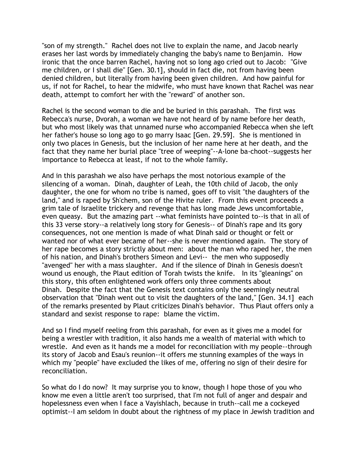"son of my strength." Rachel does not live to explain the name, and Jacob nearly erases her last words by immediately changing the baby's name to Benjamin. How ironic that the once barren Rachel, having not so long ago cried out to Jacob: "Give me children, or I shall die" [Gen. 30.1], should in fact die, not from having been denied children, but literally from having been given children. And how painful for us, if not for Rachel, to hear the midwife, who must have known that Rachel was near death, attempt to comfort her with the "reward" of another son.

Rachel is the second woman to die and be buried in this parashah. The first was Rebecca's nurse, Dvorah, a woman we have not heard of by name before her death, but who most likely was that unnamed nurse who accompanied Rebecca when she left her father's house so long ago to go marry Isaac [Gen. 29.59]. She is mentioned in only two places in Genesis, but the inclusion of her name here at her death, and the fact that they name her burial place "tree of weeping"--A-lone ba-choot--suggests her importance to Rebecca at least, if not to the whole family.

And in this parashah we also have perhaps the most notorious example of the silencing of a woman. Dinah, daughter of Leah, the 10th child of Jacob, the only daughter, the one for whom no tribe is named, goes off to visit "the daughters of the land," and is raped by Sh'chem, son of the Hivite ruler. From this event proceeds a grim tale of Israelite trickery and revenge that has long made Jews uncomfortable, even queasy. But the amazing part --what feminists have pointed to--is that in all of this 33 verse story--a relatively long story for Genesis-- of Dinah's rape and its gory consequences, not one mention is made of what Dinah said or thought or felt or wanted nor of what ever became of her--she is never mentioned again. The story of her rape becomes a story strictly about men: about the man who raped her, the men of his nation, and Dinah's brothers Simeon and Levi-- the men who supposedly "avenged" her with a mass slaughter. And if the silence of Dinah in Genesis doesn't wound us enough, the Plaut edition of Torah twists the knife. In its "gleanings" on this story, this often enlightened work offers only three comments about Dinah. Despite the fact that the Genesis text contains only the seemingly neutral observation that "Dinah went out to visit the daughters of the land," [Gen. 34.1] each of the remarks presented by Plaut criticizes Dinah's behavior. Thus Plaut offers only a standard and sexist response to rape: blame the victim.

And so I find myself reeling from this parashah, for even as it gives me a model for being a wrestler with tradition, it also hands me a wealth of material with which to wrestle. And even as it hands me a model for reconciliation with my people--through its story of Jacob and Esau's reunion--it offers me stunning examples of the ways in which my "people" have excluded the likes of me, offering no sign of their desire for reconciliation.

So what do I do now? It may surprise you to know, though I hope those of you who know me even a little aren't too surprised, that I'm not full of anger and despair and hopelessness even when I face a Vayishlach, because in truth--call me a cockeyed optimist--I am seldom in doubt about the rightness of my place in Jewish tradition and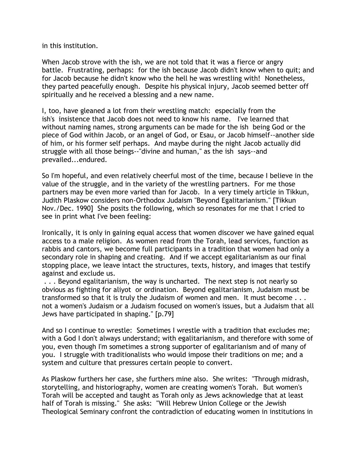in this institution.

When Jacob strove with the ish, we are not told that it was a fierce or angry battle. Frustrating, perhaps: for the ish because Jacob didn't know when to quit; and for Jacob because he didn't know who the hell he was wrestling with! Nonetheless, they parted peacefully enough. Despite his physical injury, Jacob seemed better off spiritually and he received a blessing and a new name.

I, too, have gleaned a lot from their wrestling match: especially from the ish's insistence that Jacob does not need to know his name. I've learned that without naming names, strong arguments can be made for the ish being God or the piece of God within Jacob, or an angel of God, or Esau, or Jacob himself--another side of him, or his former self perhaps. And maybe during the night Jacob actually did struggle with all those beings--"divine and human," as the ish says--and prevailed...endured.

So I'm hopeful, and even relatively cheerful most of the time, because I believe in the value of the struggle, and in the variety of the wrestling partners. For me those partners may be even more varied than for Jacob. In a very timely article in Tikkun, Judith Plaskow considers non-Orthodox Judaism "Beyond Egalitarianism." [Tikkun Nov./Dec. 1990] She posits the following, which so resonates for me that I cried to see in print what I've been feeling:

Ironically, it is only in gaining equal access that women discover we have gained equal access to a male religion. As women read from the Torah, lead services, function as rabbis and cantors, we become full participants in a tradition that women had only a secondary role in shaping and creating. And if we accept egalitarianism as our final stopping place, we leave intact the structures, texts, history, and images that testify against and exclude us.

. . . Beyond egalitarianism, the way is uncharted. The next step is not nearly so obvious as fighting for aliyot or ordination. Beyond egalitarianism, Judaism must be transformed so that it is truly the Judaism of women and men. It must become . . . not a women's Judaism or a Judaism focused on women's issues, but a Judaism that all Jews have participated in shaping." [p.79]

And so I continue to wrestle: Sometimes I wrestle with a tradition that excludes me; with a God I don't always understand; with egalitarianism, and therefore with some of you, even though I'm sometimes a strong supporter of egalitarianism and of many of you. I struggle with traditionalists who would impose their traditions on me; and a system and culture that pressures certain people to convert.

As Plaskow furthers her case, she furthers mine also. She writes: "Through midrash, storytelling, and historiography, women are creating women's Torah. But women's Torah will be accepted and taught as Torah only as Jews acknowledge that at least half of Torah is missing." She asks: "Will Hebrew Union College or the Jewish Theological Seminary confront the contradiction of educating women in institutions in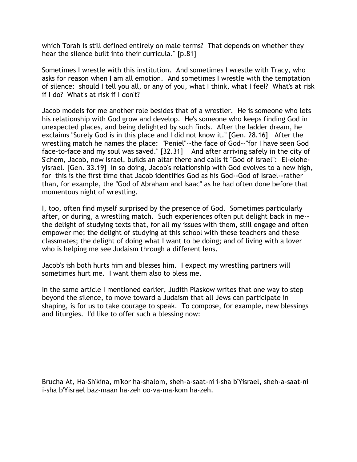which Torah is still defined entirely on male terms? That depends on whether they hear the silence built into their curricula." [p.81]

Sometimes I wrestle with this institution. And sometimes I wrestle with Tracy, who asks for reason when I am all emotion. And sometimes I wrestle with the temptation of silence: should I tell you all, or any of you, what I think, what I feel? What's at risk if I do? What's at risk if I don't?

Jacob models for me another role besides that of a wrestler. He is someone who lets his relationship with God grow and develop. He's someone who keeps finding God in unexpected places, and being delighted by such finds. After the ladder dream, he exclaims "Surely God is in this place and I did not know it." [Gen. 28.16] After the wrestling match he names the place: "Peniel"--the face of God--"for I have seen God face-to-face and my soul was saved." [32.31] And after arriving safely in the city of S'chem, Jacob, now Israel, builds an altar there and calls it "God of Israel": El-eloheyisrael. [Gen. 33.19] In so doing, Jacob's relationship with God evolves to a new high, for this is the first time that Jacob identifies God as his God--God of Israel--rather than, for example, the "God of Abraham and Isaac" as he had often done before that momentous night of wrestling.

I, too, often find myself surprised by the presence of God. Sometimes particularly after, or during, a wrestling match. Such experiences often put delight back in me- the delight of studying texts that, for all my issues with them, still engage and often empower me; the delight of studying at this school with these teachers and these classmates; the delight of doing what I want to be doing; and of living with a lover who is helping me see Judaism through a different lens.

Jacob's ish both hurts him and blesses him. I expect my wrestling partners will sometimes hurt me. I want them also to bless me.

In the same article I mentioned earlier, Judith Plaskow writes that one way to step beyond the silence, to move toward a Judaism that all Jews can participate in shaping, is for us to take courage to speak. To compose, for example, new blessings and liturgies. I'd like to offer such a blessing now:

Brucha At, Ha-Sh'kina, m'kor ha-shalom, sheh-a-saat-ni i-sha b'Yisrael, sheh-a-saat-ni i-sha b'Yisrael baz-maan ha-zeh oo-va-ma-kom ha-zeh.